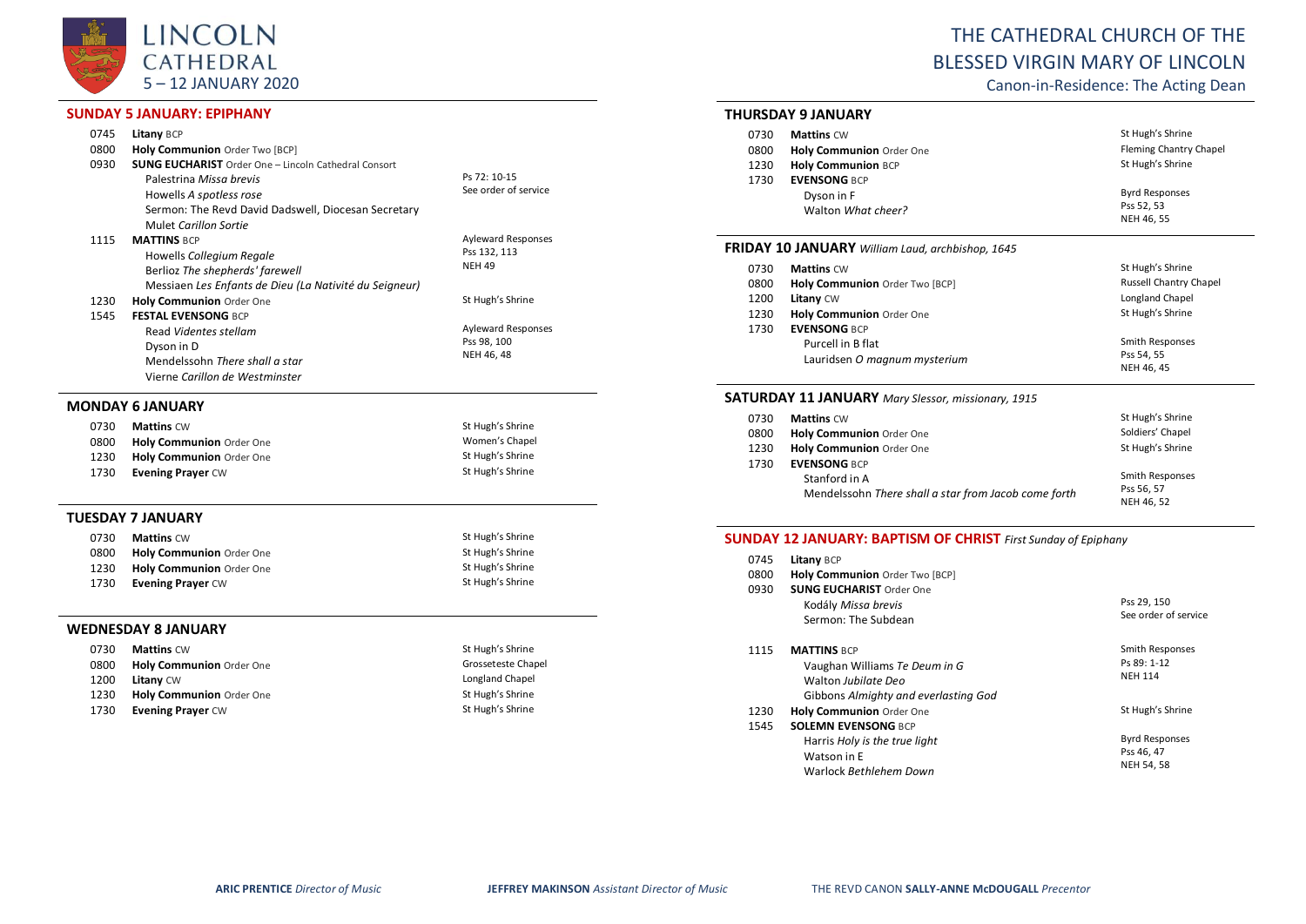

## **SUNDAY 5 JANUARY: EPIPHANY**

| 0745 | Litany BCP                                                  |                           |  |
|------|-------------------------------------------------------------|---------------------------|--|
| 0800 | Holy Communion Order Two [BCP]                              |                           |  |
| 0930 | <b>SUNG EUCHARIST</b> Order One - Lincoln Cathedral Consort |                           |  |
|      | Palestrina Missa brevis                                     | Ps 72: 10-15              |  |
|      | Howells A spotless rose                                     | See order of service      |  |
|      | Sermon: The Revd David Dadswell, Diocesan Secretary         |                           |  |
|      | Mulet Carillon Sortie                                       |                           |  |
| 1115 | <b>MATTINS BCP</b>                                          | <b>Ayleward Responses</b> |  |
|      | Howells Collegium Regale                                    | Pss 132, 113              |  |
|      | Berlioz The shepherds' farewell                             | <b>NEH 49</b>             |  |
|      | Messiaen Les Enfants de Dieu (La Nativité du Seigneur)      |                           |  |
| 1230 | Holy Communion Order One                                    | St Hugh's Shrine          |  |
| 1545 | <b>FESTAL EVENSONG BCP</b>                                  |                           |  |
|      | Read Videntes stellam                                       | <b>Ayleward Responses</b> |  |
|      | Dyson in D                                                  | Pss 98, 100               |  |
|      | Mendelssohn There shall a star                              | NEH 46, 48                |  |
|      | Vierne Carillon de Westminster                              |                           |  |
|      | <b>MONDAY 6 JANUARY</b>                                     |                           |  |
| 0730 | <b>Mattins CW</b>                                           | St Hugh's Shrine          |  |
| 0800 | Holy Communion Order One                                    | Women's Chapel            |  |
| 1230 | Holy Communion Order One                                    | St Hugh's Shrine          |  |
| 1730 | <b>Evening Prayer CW</b>                                    | St Hugh's Shrine          |  |
|      |                                                             |                           |  |
|      | TUESDAY 7 JANUARY                                           |                           |  |
| 0730 | <b>Mattins CW</b>                                           | St Hugh's Shrine          |  |
| 0800 | Holy Communion Order One                                    | St Hugh's Shrine          |  |
| 1230 | Holy Communion Order One                                    | St Hugh's Shrine          |  |
| 1730 | <b>Evening Prayer CW</b>                                    | St Hugh's Shrine          |  |
|      |                                                             |                           |  |
|      | WEDNESDAY 8 JANUARY                                         |                           |  |
| 0730 | <b>Mattins CW</b>                                           | St Hugh's Shrine          |  |
| 0800 | Holy Communion Order One                                    | Grosseteste Chapel        |  |
| 1200 | Litany CW                                                   | Longland Chapel           |  |
|      |                                                             |                           |  |

- 1230 **Holy Communion** Order One States of States and States of States Shrine States of States 1730 **Evening Prayer** CW 1730 **Evening Prayer** CW
	-

# THE CATHEDRAL CHURCH OF THE BLESSED VIRGIN MARY OF LINCOLN

Canon-in-Residence: The Acting Dean

### **THURSDAY 9 JANUARY**

| 0730 | <b>Mattins CW</b>         | St Hugh's Shrine       |
|------|---------------------------|------------------------|
| 0800 | Holy Communion Order One  | Fleming Chantry Chapel |
| 1230 | <b>Holy Communion BCP</b> | St Hugh's Shrine       |
| 1730 | <b>EVENSONG BCP</b>       |                        |
|      | Dyson in F                | <b>Byrd Responses</b>  |
|      | Walton What cheer?        | Pss 52, 53             |
|      |                           | NEH 46, 55             |

## **FRIDAY 10 JANUARY** *William Laud, archbishop, 1645*

| 0730 | <b>Mattins CW</b>              | St Hugh's Shrine       |
|------|--------------------------------|------------------------|
| 0800 | Holy Communion Order Two [BCP] | Russell Chantry Chapel |
| 1200 | <b>Litany CW</b>               | Longland Chapel        |
| 1230 | Holy Communion Order One       | St Hugh's Shrine       |
| 1730 | <b>EVENSONG BCP</b>            |                        |
|      | Purcell in B flat              | Smith Responses        |
|      | Lauridsen O magnum mysterium   | Pss 54, 55             |
|      |                                | NEH 46, 45             |

## **SATURDAY 11 JANUARY** *Mary Slessor, missionary, 1915*

| 0730 | <b>Mattins CW</b>                                    | St Hugh's Shrine |
|------|------------------------------------------------------|------------------|
| 0800 | <b>Holy Communion Order One</b>                      | Soldiers' Chapel |
| 1230 | Holy Communion Order One                             | St Hugh's Shrine |
| 1730 | <b>EVENSONG BCP</b>                                  |                  |
|      | Stanford in A                                        | Smith Responses  |
|      | Mendelssohn There shall a star from Jacob come forth | Pss 56, 57       |
|      |                                                      | NEH 46, 52       |

## **SUNDAY 12 JANUARY: BAPTISM OF CHRIST** *First Sunday of Epiphany*

| 0745 | Litany BCP                                                                                                         |                                                   |
|------|--------------------------------------------------------------------------------------------------------------------|---------------------------------------------------|
| 0800 | Holy Communion Order Two [BCP]                                                                                     |                                                   |
| 0930 | <b>SUNG EUCHARIST Order One</b><br>Kodály Missa brevis<br>Sermon: The Subdean                                      | Pss 29, 150<br>See order of service               |
| 1115 | <b>MATTINS BCP</b><br>Vaughan Williams Te Deum in G<br>Walton Jubilate Deo<br>Gibbons Almighty and everlasting God | Smith Responses<br>Ps 89: 1-12<br><b>NEH 114</b>  |
| 1230 | <b>Holy Communion Order One</b>                                                                                    | St Hugh's Shrine                                  |
| 1545 | <b>SOLEMN EVENSONG BCP</b>                                                                                         |                                                   |
|      | Harris Holy is the true light<br>Watson in E<br>Warlock Bethlehem Down                                             | <b>Byrd Responses</b><br>Pss 46, 47<br>NEH 54, 58 |

1200 **Litany** CW<br>
1230 **Holy Communion** Order One **Communist Communist Communist Communist Communist Communist Communist Communist Communist Communist Communist Communist Communist Communist Communist Communist Communist C**